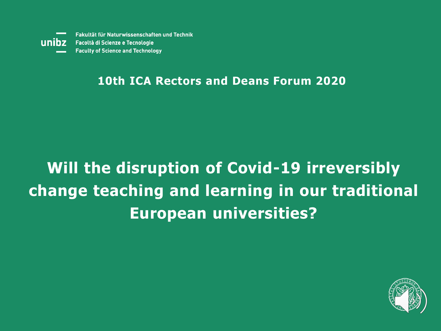unibz

Fakultät für Naturwissenschaften und Technik Facoltà di Scienze e Tecnologie **Faculty of Science and Technology** 

#### **10th ICA Rectors and Deans Forum 2020**

## **Will the disruption of Covid-19 irreversibly change teaching and learning in our traditional European universities?**

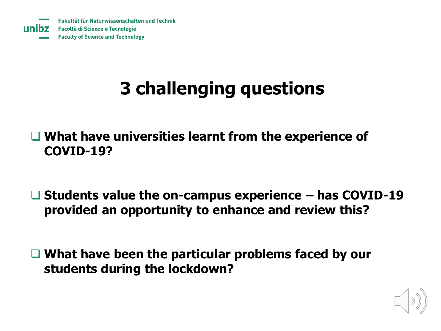# **3 challenging questions**

❑ **What have universities learnt from the experience of COVID-19?**

❑ **Students value the on-campus experience – has COVID-19 provided an opportunity to enhance and review this?** 

❑ **What have been the particular problems faced by our students during the lockdown?**

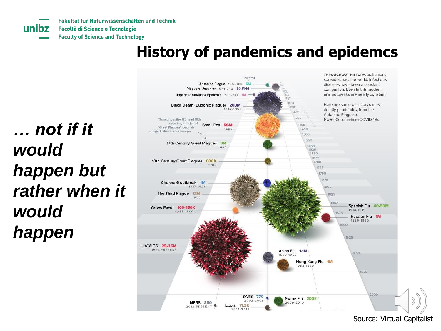Fakultät für Naturwissenschaften und Technik Facoltà di Scienze e Tecnologie **Faculty of Science and Technology** 

#### **History of pandemics and epidemcs**

*… not if it would happen but rather when it would happen*

unibz



Source: Virtual Capitalist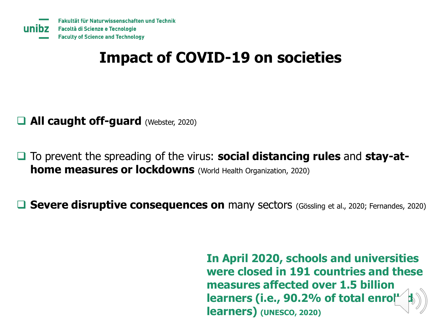#### **Impact of COVID-19 on societies**

- ❑ **All caught off-guard** (Webster, 2020)
- ❑ To prevent the spreading of the virus: **social distancing rules** and **stay-athome measures or lockdowns** (World Health Organization, 2020)

□ Severe disruptive consequences on many sectors (Gössling et al., 2020; Fernandes, 2020)

**In April 2020, schools and universities were closed in 191 countries and these measures affected over 1.5 billion**  learners (i.e., 90.2% of total enro **learners) (UNESCO, 2020)**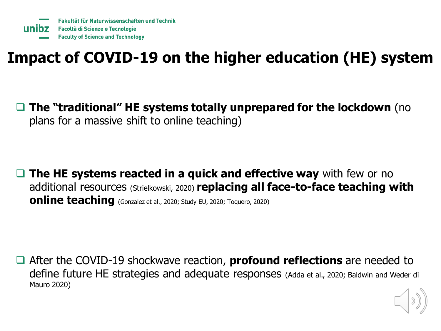### **Impact of COVID-19 on the higher education (HE) system**

❑ **The "traditional" HE systems totally unprepared for the lockdown** (no plans for a massive shift to online teaching)

❑ **The HE systems reacted in a quick and effective way** with few or no additional resources (Strielkowski, 2020) **replacing all face-to-face teaching with online teaching** (Gonzalez et al., 2020; Study EU, 2020; Toquero, 2020)

❑ After the COVID-19 shockwave reaction, **profound reflections** are needed to define future HE strategies and adequate responses (Adda et al., 2020; Baldwin and Weder di Mauro 2020)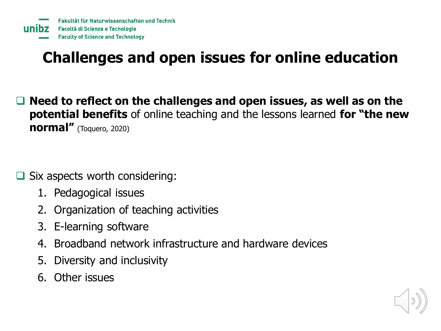## **Challenges and open issues for online education**

❑ **Need to reflect on the challenges and open issues, as well as on the potential benefits** of online teaching and the lessons learned **for "the new normal"** (Toquero, 2020)

Six aspects worth considering:

- 1. Pedagogical issues
- 2. Organization of teaching activities
- 3. E-learning software
- 4. Broadband network infrastructure and hardware devices
- 5. Diversity and inclusivity
- 6. Other issues

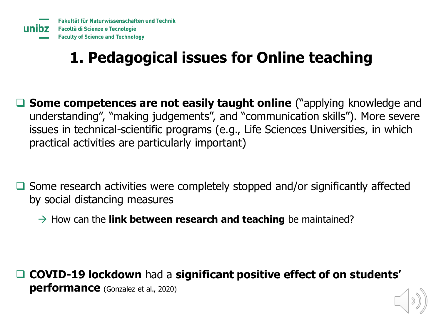## **1. Pedagogical issues for Online teaching**

- ❑ **Some competences are not easily taught online** ("applying knowledge and understanding", "making judgements", and "communication skills"). More severe issues in technical-scientific programs (e.g., Life Sciences Universities, in which practical activities are particularly important)
- ❑ Some research activities were completely stopped and/or significantly affected by social distancing measures
	- $\rightarrow$  How can the **link between research and teaching** be maintained?

❑ **COVID-19 lockdown** had a **significant positive effect of on students' performance** (Gonzalez et al., 2020)

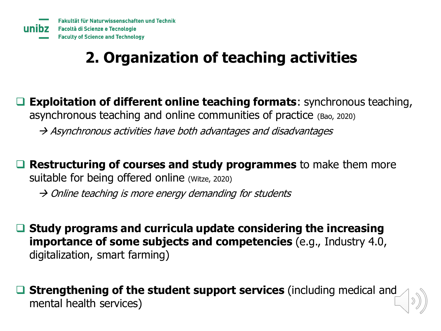## **2. Organization of teaching activities**

**Exploitation of different online teaching formats**: synchronous teaching, asynchronous teaching and online communities of practice (Bao, 2020)

 $\rightarrow$  Asynchronous activities have both advantages and disadvantages

**Restructuring of courses and study programmes** to make them more suitable for being offered online (Witze, 2020)

 $\rightarrow$  Online teaching is more energy demanding for students

❑ **Study programs and curricula update considering the increasing importance of some subjects and competencies** (e.g., Industry 4.0, digitalization, smart farming)

❑ **Strengthening of the student support services** (including medical and mental health services)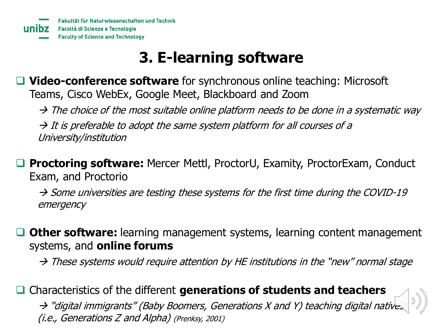#### **3. E-learning software**

❑ **Video-conference software** for synchronous online teaching: Microsoft Teams, Cisco WebEx, Google Meet, Blackboard and Zoom

 $\rightarrow$  The choice of the most suitable online platform needs to be done in a systematic way

 $\rightarrow$  It is preferable to adopt the same system platform for all courses of a University/institution

❑ **Proctoring software:** Mercer Mettl, ProctorU, Examity, ProctorExam, Conduct Exam, and Proctorio

 $\rightarrow$  Some universities are testing these systems for the first time during the COVID-19 emergency

❑ **Other software:** learning management systems, learning content management systems, and **online forums**

 $\rightarrow$  These systems would require attention by HE institutions in the "new" normal stage

❑ Characteristics of the different **generations of students and teachers**

→ "digital immigrants" (Baby Boomers, Generations X and Y) teaching digital natives (i.e., Generations Z and Alpha) (Prenksy, 2001)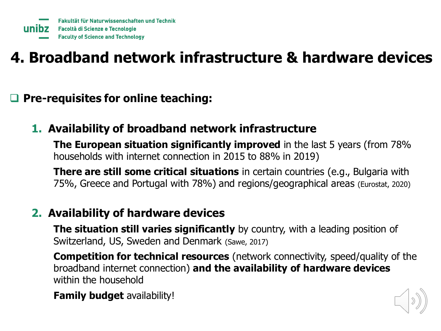## **4. Broadband network infrastructure & hardware devices**

❑ **Pre-requisites for online teaching:** 

**1. Availability of broadband network infrastructure**

**The European situation significantly improved** in the last 5 years (from 78% households with internet connection in 2015 to 88% in 2019)

**There are still some critical situations** in certain countries (e.g., Bulgaria with 75%, Greece and Portugal with 78%) and regions/geographical areas (Eurostat, 2020)

#### **2. Availability of hardware devices**

**The situation still varies significantly** by country, with a leading position of Switzerland, US, Sweden and Denmark (Sawe, 2017)

**Competition for technical resources** (network connectivity, speed/quality of the broadband internet connection) **and the availability of hardware devices** within the household

**Family budget** availability!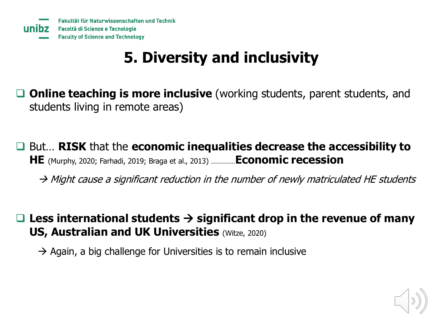#### **5. Diversity and inclusivity**

- ❑ **Online teaching is more inclusive** (working students, parent students, and students living in remote areas)
- ❑ But… **RISK** that the **economic inequalities decrease the accessibility to HE** (Murphy, 2020; Farhadi, 2019; Braga et al., 2013) …………**Economic recession**
	- $\rightarrow$  Might cause a significant reduction in the number of newly matriculated HE students
- ❑ **Less international students** → **significant drop in the revenue of many US, Australian and UK Universities (Witze, 2020)** 
	- $\rightarrow$  Again, a big challenge for Universities is to remain inclusive

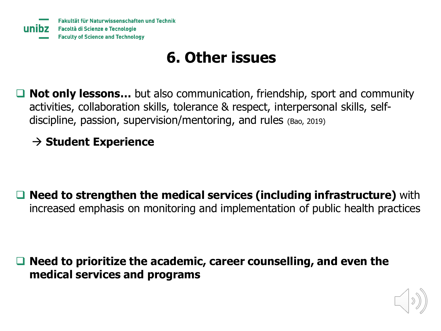#### **6. Other issues**

**Not only lessons...** but also communication, friendship, sport and community activities, collaboration skills, tolerance & respect, interpersonal skills, selfdiscipline, passion, supervision/mentoring, and rules (Bao, 2019)

#### → **Student Experience**

❑ **Need to strengthen the medical services (including infrastructure)** with increased emphasis on monitoring and implementation of public health practices

❑ **Need to prioritize the academic, career counselling, and even the medical services and programs**

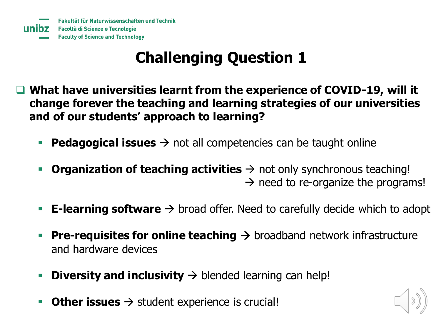## **Challenging Question 1**

- ❑ **What have universities learnt from the experience of COVID-19, will it change forever the teaching and learning strategies of our universities and of our students' approach to learning?**
	- **Pedagogical issues** → not all competencies can be taught online
	- **Organization of teaching activities**  $\rightarrow$  not only synchronous teaching!  $\rightarrow$  need to re-organize the programs!
	- **E-learning software**  $\rightarrow$  broad offer. Need to carefully decide which to adopt
	- **Pre-requisites for online teaching →** broadband network infrastructure and hardware devices
	- **Diversity and inclusivity**  $\rightarrow$  blended learning can help!
	- **Other issues** → student experience is crucial!

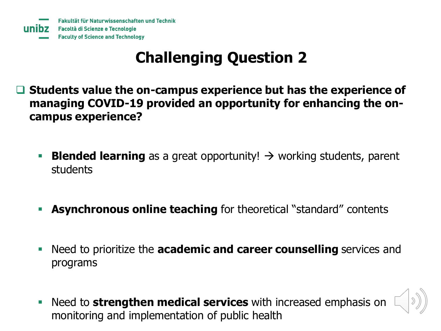### **Challenging Question 2**

- ❑ **Students value the on-campus experience but has the experience of managing COVID-19 provided an opportunity for enhancing the oncampus experience?**
	- **Blended learning** as a great opportunity! → working students, parent students
	- **EXECTE:** Asynchronous online teaching for theoretical "standard" contents
	- Need to prioritize the **academic and career counselling** services and programs
	- Need to **strengthen medical services** with increased emphasis on monitoring and implementation of public health

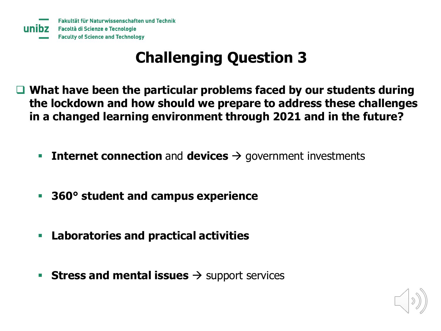#### **Challenging Question 3**

- ❑ **What have been the particular problems faced by our students during the lockdown and how should we prepare to address these challenges in a changed learning environment through 2021 and in the future?**
	- Internet connection and devices  $\rightarrow$  government investments
	- **360° student and campus experience**
	- **Laboratories and practical activities**
	- **Stress and mental issues** → support services

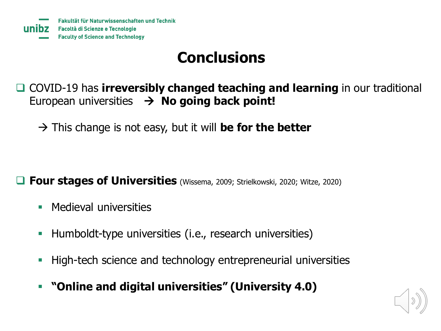#### **Conclusions**

❑ COVID-19 has **irreversibly changed teaching and learning** in our traditional European universities → **No going back point!** 

→ This change is not easy, but it will **be for the better**

❑ **Four stages of Universities** (Wissema, 2009; Strielkowski, 2020; Witze, 2020)

- **Medieval universities**
- Humboldt-type universities (i.e., research universities)
- **EXTERN** High-tech science and technology entrepreneurial universities
- **"Online and digital universities" (University 4.0)**

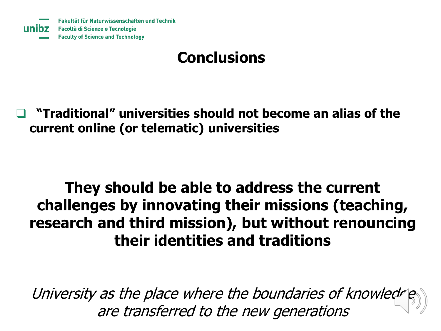#### **Conclusions**

❑ **"Traditional" universities should not become an alias of the current online (or telematic) universities**

#### **They should be able to address the current challenges by innovating their missions (teaching, research and third mission), but without renouncing their identities and traditions**

University as the place where the boundaries of knowledge are transferred to the new generations